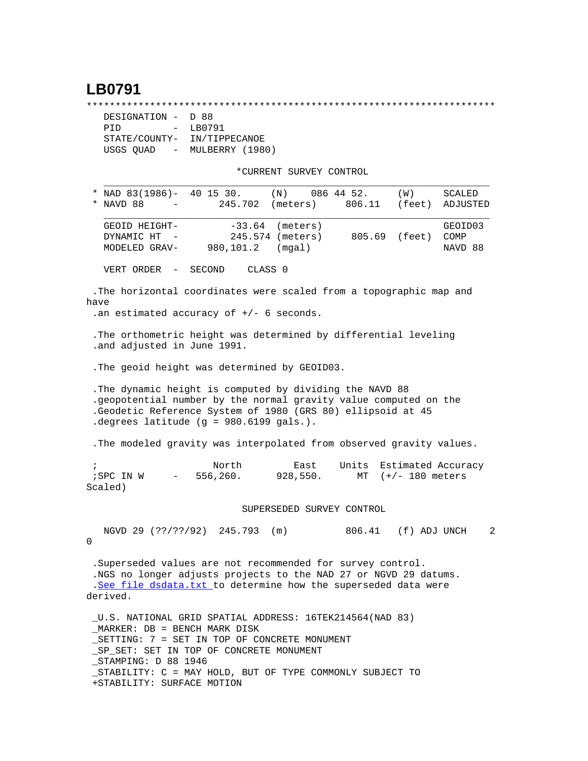## **LB0791**

\*\*\*\*\*\*\*\*\*\*\*\*\*\*\*\*\*\*\*\*\*\*\*\*\*\*\*\*\*\*\*\*\*\*\*\*\*\*\*\*\*\*\*\*\*\*\*\*\*\*\*\*\*\*\*\*\*\*\*\*\*\*\*\*\*\*\*\*\*\*\*

| DESIGNATION - D 88                    |                 |  |  |
|---------------------------------------|-----------------|--|--|
| PTD<br>$\sim$ $\sim$                  | LB0791          |  |  |
| STATE/COUNTY-                         | IN/TIPPECANOE   |  |  |
| USGS OUAD<br>$\alpha_{\rm{max}}=0.01$ | MULBERRY (1980) |  |  |

\*CURRENT SURVEY CONTROL

|            | NAD 83(1986)- 40 15 30.<br>NAVD 88                                                                                                                                                                                                      | 245.702                      | (N)<br>(meters)                        | 086 44 52.<br>806.11 | (W)<br>(feet)     | SCALED<br>ADJUSTED         |  |  |  |  |
|------------|-----------------------------------------------------------------------------------------------------------------------------------------------------------------------------------------------------------------------------------------|------------------------------|----------------------------------------|----------------------|-------------------|----------------------------|--|--|--|--|
|            | GEOID HEIGHT-<br>DYNAMIC HT<br>MODELED GRAV-                                                                                                                                                                                            | $-33.64$<br>980,101.2        | (meters)<br>245.574 (meters)<br>(mqal) |                      | 805.69 (feet)     | GEOID03<br>COMP<br>NAVD 88 |  |  |  |  |
|            | VERT ORDER<br>$\overline{\phantom{a}}$                                                                                                                                                                                                  | CLASS <sub>0</sub><br>SECOND |                                        |                      |                   |                            |  |  |  |  |
| have       | .The horizontal coordinates were scaled from a topographic map and<br>.an estimated accuracy of $+/-$ 6 seconds.                                                                                                                        |                              |                                        |                      |                   |                            |  |  |  |  |
|            | . The orthometric height was determined by differential leveling<br>.and adjusted in June 1991.                                                                                                                                         |                              |                                        |                      |                   |                            |  |  |  |  |
|            | . The geoid height was determined by GEOID03.                                                                                                                                                                                           |                              |                                        |                      |                   |                            |  |  |  |  |
|            | . The dynamic height is computed by dividing the NAVD 88<br>.geopotential number by the normal gravity value computed on the<br>.Geodetic Reference System of 1980 (GRS 80) ellipsoid at 45<br>degrees latitude (g = $980.6199$ gals.). |                              |                                        |                      |                   |                            |  |  |  |  |
|            | . The modeled gravity was interpolated from observed gravity values.                                                                                                                                                                    |                              |                                        |                      |                   |                            |  |  |  |  |
| $\ddot{i}$ | ; SPC IN W<br>$\qquad \qquad -$<br>Scaled)                                                                                                                                                                                              | North<br>556,260.            | East<br>928,550.                       | Units<br>MT          | $(+/- 180$ meters | Estimated Accuracy         |  |  |  |  |
|            |                                                                                                                                                                                                                                         |                              | SUPERSEDED SURVEY CONTROL              |                      |                   |                            |  |  |  |  |
| 0          | NGVD 29 (??/??/92) 245.793                                                                                                                                                                                                              |                              | (m)                                    | 806.41 (f) ADJ UNCH  |                   | 2                          |  |  |  |  |
|            | .Superseded values are not recommended for survey control.<br>.NGS no longer adjusts projects to the NAD 27 or NGVD 29 datums.<br>.See file dsdata.txt to determine how the superseded data were<br>derived.                            |                              |                                        |                      |                   |                            |  |  |  |  |

 \_U.S. NATIONAL GRID SPATIAL ADDRESS: 16TEK214564(NAD 83) \_MARKER: DB = BENCH MARK DISK \_SETTING: 7 = SET IN TOP OF CONCRETE MONUMENT \_SP\_SET: SET IN TOP OF CONCRETE MONUMENT \_STAMPING: D 88 1946 \_STABILITY: C = MAY HOLD, BUT OF TYPE COMMONLY SUBJECT TO +STABILITY: SURFACE MOTION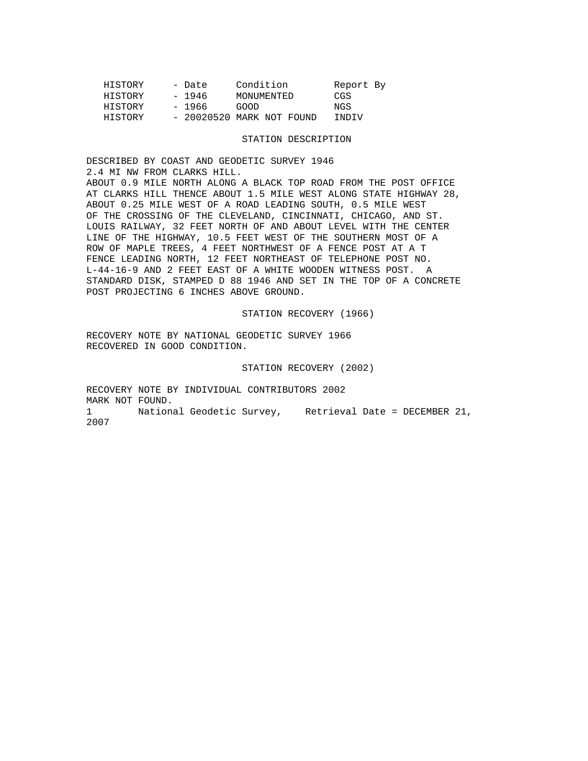| HISTORY | - Date | Condition                  | Report By |  |
|---------|--------|----------------------------|-----------|--|
| HISTORY | - 1946 | MONUMENTED                 | CGS       |  |
| HISTORY | - 1966 | GOOD                       | NGS       |  |
| HISTORY |        | $-20020520$ MARK NOT FOUND | TNDTV     |  |

## STATION DESCRIPTION

DESCRIBED BY COAST AND GEODETIC SURVEY 1946 2.4 MI NW FROM CLARKS HILL. ABOUT 0.9 MILE NORTH ALONG A BLACK TOP ROAD FROM THE POST OFFICE AT CLARKS HILL THENCE ABOUT 1.5 MILE WEST ALONG STATE HIGHWAY 28, ABOUT 0.25 MILE WEST OF A ROAD LEADING SOUTH, 0.5 MILE WEST OF THE CROSSING OF THE CLEVELAND, CINCINNATI, CHICAGO, AND ST. LOUIS RAILWAY, 32 FEET NORTH OF AND ABOUT LEVEL WITH THE CENTER LINE OF THE HIGHWAY, 10.5 FEET WEST OF THE SOUTHERN MOST OF A ROW OF MAPLE TREES, 4 FEET NORTHWEST OF A FENCE POST AT A T FENCE LEADING NORTH, 12 FEET NORTHEAST OF TELEPHONE POST NO. L-44-16-9 AND 2 FEET EAST OF A WHITE WOODEN WITNESS POST. A STANDARD DISK, STAMPED D 88 1946 AND SET IN THE TOP OF A CONCRETE POST PROJECTING 6 INCHES ABOVE GROUND.

STATION RECOVERY (1966)

RECOVERY NOTE BY NATIONAL GEODETIC SURVEY 1966 RECOVERED IN GOOD CONDITION.

STATION RECOVERY (2002)

RECOVERY NOTE BY INDIVIDUAL CONTRIBUTORS 2002 MARK NOT FOUND. 1 National Geodetic Survey, Retrieval Date = DECEMBER 21, 2007